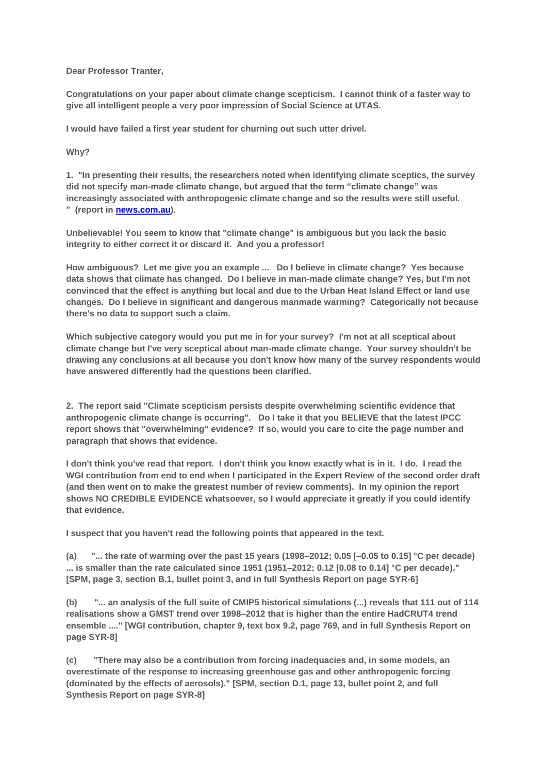**Dear Professor Tranter,**

**Congratulations on your paper about climate change scepticism. I cannot think of a faster way to give all intelligent people a very poor impression of Social Science at UTAS.**

**I would have failed a first year student for churning out such utter drivel.**

**Why?**

**1. "In presenting their results, the researchers noted when identifying climate sceptics, the survey did not specify man-made climate change, but argued that the term "climate change" was increasingly associated with anthropogenic climate change and so the results were still useful. " (report in [news.com.au\)](http://news.com.au/).**

**Unbelievable! You seem to know that "climate change" is ambiguous but you lack the basic integrity to either correct it or discard it. And you a professor!**

**How ambiguous? Let me give you an example ... Do I believe in climate change? Yes because data shows that climate has changed. Do I believe in man-made climate change? Yes, but I'm not convinced that the effect is anything but local and due to the Urban Heat Island Effect or land use changes. Do I believe in significant and dangerous manmade warming? Categorically not because there's no data to support such a claim.**

**Which subjective category would you put me in for your survey? I'm not at all sceptical about climate change but I've very sceptical about man-made climate change. Your survey shouldn't be drawing any conclusions at all because you don't know how many of the survey respondents would have answered differently had the questions been clarified.** 

**2. The report said "Climate scepticism persists despite overwhelming scientific evidence that anthropogenic climate change is occurring". Do I take it that you BELIEVE that the latest IPCC report shows that "overwhelming" evidence? If so, would you care to cite the page number and paragraph that shows that evidence.**

**I don't think you've read that report. I don't think you know exactly what is in it. I do. I read the WGI contribution from end to end when I participated in the Expert Review of the second order draft (and then went on to make the greatest number of review comments). In my opinion the report shows NO CREDIBLE EVIDENCE whatsoever, so I would appreciate it greatly if you could identify that evidence.**

**I suspect that you haven't read the following points that appeared in the text.** 

**(a) "... the rate of warming over the past 15 years (1998–2012; 0.05 [–0.05 to 0.15] °C per decade) ... is smaller than the rate calculated since 1951 (1951–2012; 0.12 [0.08 to 0.14] °C per decade)." [SPM, page 3, section B.1, bullet point 3, and in full Synthesis Report on page SYR-6]**

**(b) "... an analysis of the full suite of CMIP5 historical simulations (...) reveals that 111 out of 114 realisations show a GMST trend over 1998–2012 that is higher than the entire HadCRUT4 trend ensemble ...." [WGI contribution, chapter 9, text box 9.2, page 769, and in full Synthesis Report on page SYR-8]**

**(c) "There may also be a contribution from forcing inadequacies and, in some models, an overestimate of the response to increasing greenhouse gas and other anthropogenic forcing (dominated by the effects of aerosols)." [SPM, section D.1, page 13, bullet point 2, and full Synthesis Report on page SYR-8]**